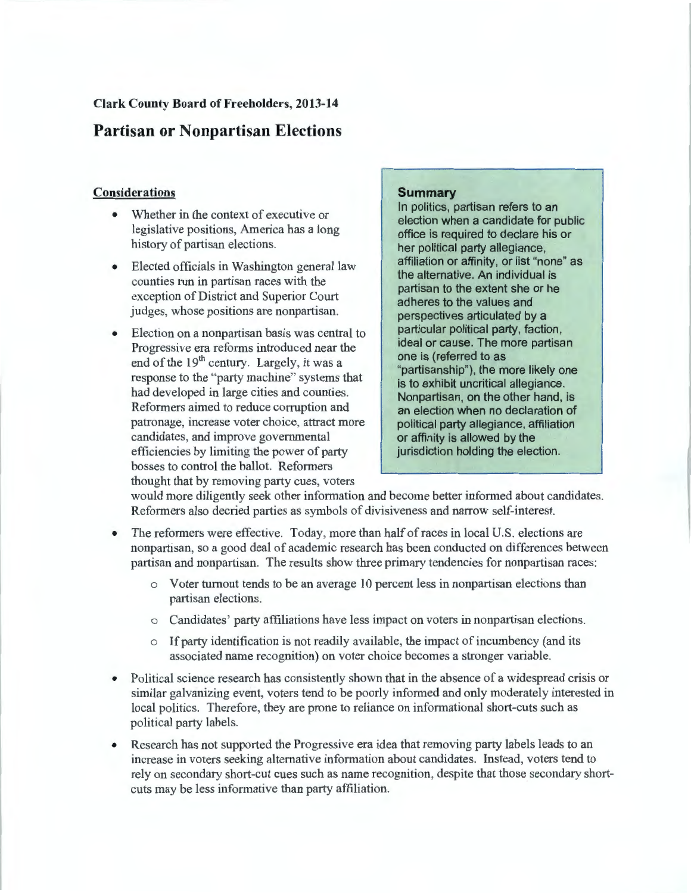# **Partisan or Nonpartisan Elections**

# **Considerations**

- Whether in the context of executive or legislative positions, America has a long history of partisan elections.
- Elected officials in Washington general law counties run in partisan races with the exception of District and Superior Court judges, whose positions are nonpartisan.
- Election on a nonpartisan basis was central to Progressive era reforms introduced near the end of the  $19<sup>th</sup>$  century. Largely, it was a response to the "party machine" systems that had developed in large cities and counties. Reformers aimed to reduce corruption and patronage, increase voter choice, attract more candidates, and improve governmental efficiencies by limiting the power of party bosses to control the ballot. Reformers thought that by removing party cues, voters

# **Summary**

In politics, partisan refers to an election when a candidate for public office is required to declare his or her political party allegiance, affiliation or affinity, or list "none" as the alternative. An individual is partisan to the extent she or he adheres to the values and perspectives articulated by a particular political party, faction, ideal or cause. The more partisan one is ( referred to as "partisanship"), the more likely one is to exhibit uncritical allegiance. Nonpartisan, on the other hand, is an election when no declaration of political party allegiance, affiliation or affinity is allowed by the jurisdiction holding the election.

would more diligently seek other information and become better informed about candidates. Reformers also decried parties as symbols of divisiveness and narrow self-interest.

- The reformers were effective. Today, more than half of races in local U.S. elections are nonpartisan, so a good deal of academic research has been conducted on differences between partisan and nonpartisan. The results show three primary tendencies for nonpartisan races:
	- o Voter turnout tends to be an average 10 percent less in nonpartisan elections than partisan elections.
	- o Candidates' party affiliations have less impact on voters in nonpartisan elections.
	- o If party identification is not readily available, the impact of incumbency (and its associated name recognition) on voter choice becomes a stronger variable.
- Political science research has consistently shown that in the absence of a widespread crisis or similar galvanizing event, voters tend to be poorly informed and only moderately interested in local politics. Therefore, they are prone to reliance on informational short-cuts such as political party labels.
- Research has not supported the Progressive era idea that removing party labels leads to an increase in voters seeking alternative information about candidates. Instead, voters tend to rely on secondary short-cut cues such as name recognition, despite that those secondary shortcuts may be less informative than party affiliation.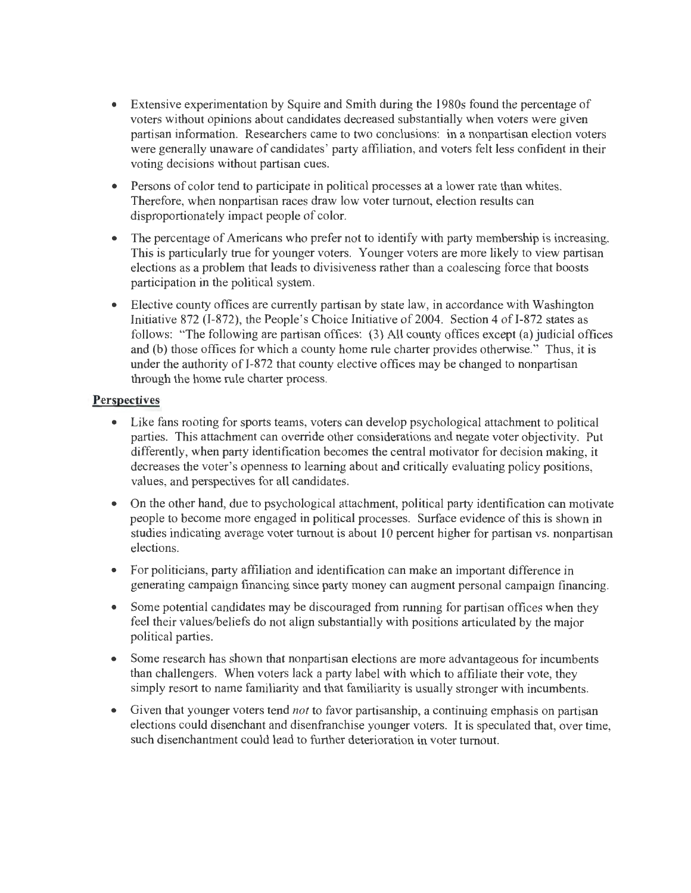- Extensive experimentation by Squire and Smith during the 1980s found the percentage of voters without opinions about candidates decreased substantially when voters were given partisan information. Researchers came to two conclusions: in a nonpartisan election voters were generally unaware of candidates' party affiliation, and voters felt less confident in their voting decisions without partisan cues.
- Persons of color tend to participate in political processes at a lower rate than whites. Therefore, when nonpartisan races draw low voter turnout, election results can disproportionately impact people of color.
- The percentage of Americans who prefer not to identify with party membership is increasing. This is particularly true for younger voters. Younger voters are more likely to view partisan elections as a problem that leads to divisiveness rather than a coalescing force that boosts participation in the political system.
- Elective county offices are currently partisan by state law, in accordance with Washington Initiative 872 (I-872), the People's Choice Initiative of 2004. Section 4 of I-872 states as follows: "The following are partisan offices: (3) All county offices except (a) judicial offices and (b) those offices for which a county home rule charter provides otherwise." Thus, it is under the authority of I-872 that county elective offices may be changed to nonpartisan through the home rule charter process.

- Like fans rooting for sports teams, voters can develop psychological attachment to political parties. This attachment can override other considerations and negate voter objectivity. Put differently, when party identification becomes the central motivator for decision making, it decreases the voter's openness to learning about and critically evaluating policy positions, values, and perspectives for all candidates.
- On the other hand, due to psychological attachment, political party identification can motivate people to become more engaged in political processes. Surface evidence of this is shown in studies indicating average voter turnout is about 10 percent higher for partisan vs. nonpartisan elections.
- For politicians, party affiliation and identification can make an important difference in generating campaign financing since party money can augment personal campaign financing.
- Some potential candidates may be discouraged from running for partisan offices when they feel their values/beliefs do not align substantially with positions articulated by the major political parties.
- Some research has shown that nonpartisan elections are more advantageous for incumbents than challengers. When voters lack a party label with which to affiliate their vote, they simply resort to name familiarity and that familiarity is usually stronger with incumbents.
- Given that younger voters tend *not* to favor partisanship, a continuing emphasis on partisan elections could disenchant and disenfranchise younger voters. It is speculated that, over time, such disenchantment could lead to further deterioration in voter turnout.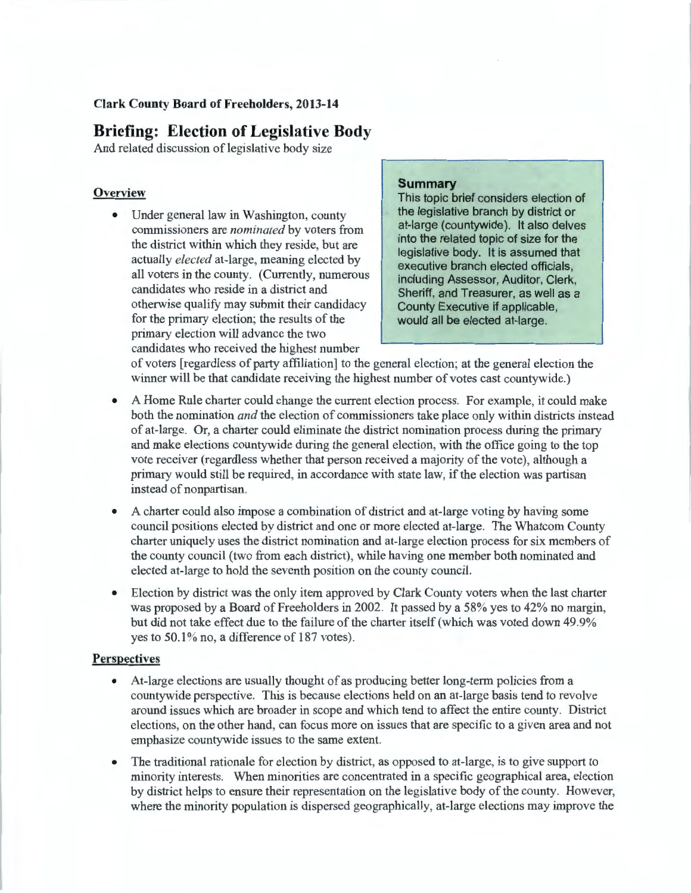# **Briefing: Election of Legislative Body**

And related discussion of legislative body size

#### **Overview**

• Under general law in Washington, county commissioners are *nominated* by voters from the district within which they reside, but are actually *elected* at-large, meaning elected by all voters in the county. (Currently, numerous candidates who reside in a district and otherwise qualify may submit their candidacy for the primary election; the results of the primary election will advance the two candidates who received the highest number

#### **Summary**

This topic brief considers election of the legislative branch by district or at-large (countywide). It also delves into the related topic of size for the legislative body. It is assumed that executive branch elected officials, including Assessor, Auditor, Clerk, Sheriff, and Treasurer, as well as a County Executive if applicable, would all be elected at-large.

of voters [regardless of party affiliation] to the general election; at the general election the winner will be that candidate receiving the highest number of votes cast countywide.)

- A Home Rule charter could change the current election process. For example, it could make both the nomination *and* the election of commissioners take place only within districts instead of at-large. Or, a charter could eliminate the district nomination process during the primary and make elections countywide during the general election, with the office going to the top vote receiver (regardless whether that person received a majority of the vote), although a primary would still be required, in accordance with state law, if the election was partisan instead of nonpartisan.
- A charter could also impose a combination of district and at-large voting by having some council positions elected by district and one or more elected at-large. The Whatcom County charter uniquely uses the district nomination and at-large election process for six members of the county council (two from each district), while having one member both nominated and elected at-large to hold the seventh position on the county council.
- Election by district was the only item approved by Clark County voters when the last charter was proposed by a Board of Freeholders in 2002. It passed by a 58% yes to 42% no margin, but did not take effect due to the failure of the charter itself (which was voted down 49.9% yes to  $50.1\%$  no, a difference of 187 votes).

- At-large elections are usually thought of as producing better long-term policies from a countywide perspective. This is because elections held on an at-large basis tend to revolve around issues which are broader in scope and which tend to affect the entire county. District elections, on the other hand, can focus more on issues that are specific to a given area and not emphasize countywide issues to the same extent.
- The traditional rationale for election by district, as opposed to at-large, is to give support to minority interests. When minorities are concentrated in a specific geographical area, election by district helps to ensure their representation on the legislative body of the county. However, where the minority population is dispersed geographically, at-large elections may improve the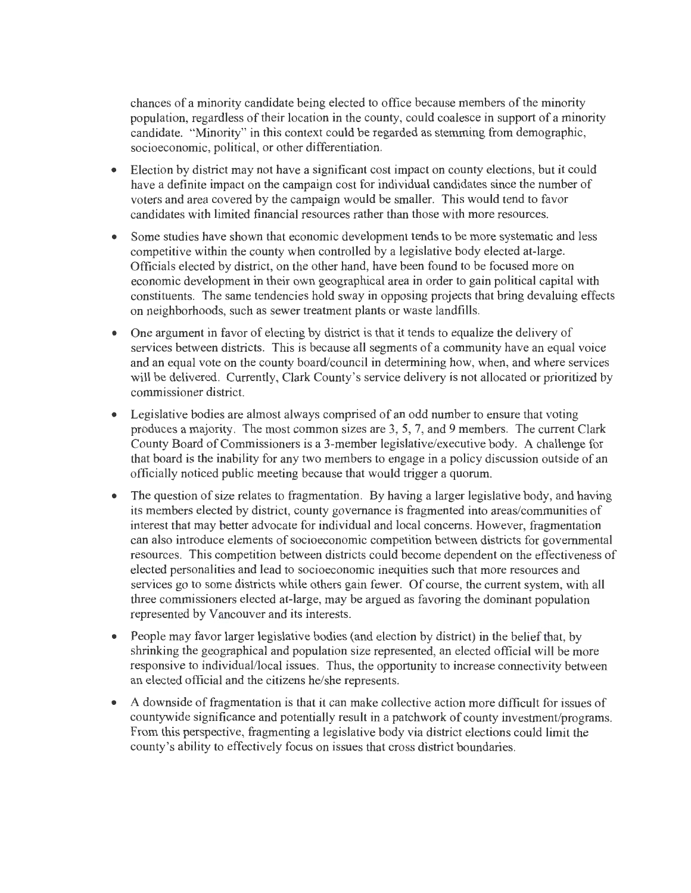chances of a minority candidate being elected to office because members of the minority population, regardless of their location in the county, could coalesce in support of a minority candidate. "Minority" in this context could be regarded as stemming from demographic, socioeconomic, political, or other differentiation.

- Election by district may not have a significant cost impact on county elections, but it could have a definite impact on the campaign cost for individual candidates since the number of voters and area covered by the campaign would be smaller. This would tend to favor candidates with limited financial resources rather than those with more resources.
- Some studies have shown that economic development tends to be more systematic and less competitive within the county when controlled by a legislative body elected at-large. Officials elected by district, on the other hand, have been found to be focused more on economic development in their own geographical area in order to gain political capital with constituents. The same tendencies hold sway in opposing projects that bring devaluing effects on neighborhoods, such as sewer treatment plants or waste landfills.
- One argument in favor of electing by district is that it tends to equalize the delivery of services between districts. This is because all segments of a community have an equal voice and an equal vote on the county board/council in determining how, when, and where services will be delivered. Currently, Clark County's service delivery is not allocated or prioritized by commissioner district.
- Legislative bodies are almost always comprised of an odd number to ensure that voting produces a majority. The most common sizes are 3, 5, 7, and 9 members. The current Clark County Board of Commissioners is a 3-member legislative/executive body. A challenge for that board is the inability for any two members to engage in a policy discussion outside of an officially noticed public meeting because that would trigger a quorum.
- The question of size relates to fragmentation. By having a larger legislative body, and having its members elected by district, county governance is fragmented into areas/communities of interest that may better advocate for individual and local concerns. However, fragmentation can also introduce elements of socioeconomic competition between districts for governmental resources. This competition between districts could become dependent on the effectiveness of elected personalities and lead to socioeconomic inequities such that more resources and services go to some districts while others gain fewer. Of course, the current system, with all three commissioners elected at-large, may be argued as favoring the dominant population represented by Vancouver and its interests.
- People may favor larger legislative bodies (and election by district) in the belief that, by shrinking the geographical and population size represented, an elected official will be more responsive to individual/local issues. Thus, the opportunity to increase connectivity between an elected official and the citizens he/she represents.
- A downside of fragmentation is that it can make collective action more difficult for issues of countywide significance and potentially result in a patchwork of county investment/programs. From this perspective, fragmenting a legislative body via district elections could limit the county's ability to effectively focus on issues that cross district boundaries.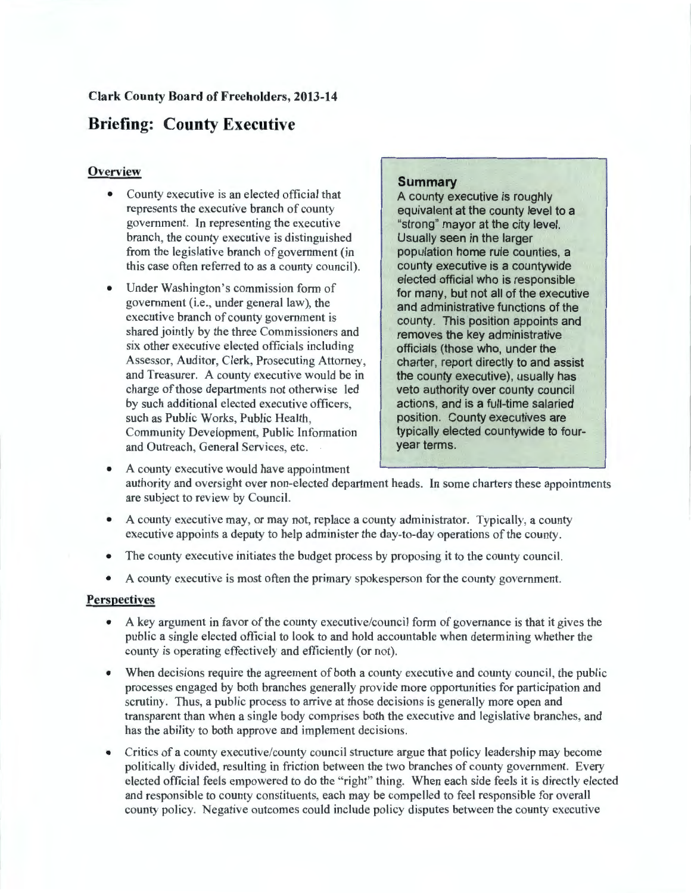# **Briefing: County Executive**

### **Overview**

- County executive is an elected official that represents the executive branch of county government. In representing the executive branch, the county executive is distinguished from the legislative branch of government (in this case often referred to as a county council).
- Under Washington's commission form of government (i.e., under general law), the executive branch of county government is shared jointly by the three Commissioners and six other executive elected officials including Assessor, Auditor, Clerk, Prosecuting Attorney, and Treasurer. A county executive would be in charge of those departments not otherwise led by such additional elected executive officers, such as Public Works, Public Health, Community Development, Public Information and Outreach, General Services, etc.

#### **Summary**

A county executive is roughly equivalent at the county level to a "strong" mayor at the city level. Usually seen in the larger population home rule counties, a county executive is a countywide elected official who is responsible for many, but not all of the executive and administrative functions of the county. This position appoints and removes the key administrative officials (those who, under the charter, report directly to and assist the county executive), usually has veto authority over county council actions, and is a full-time salaried position. County executives are typically elected countywide to fouryear terms.

- A county executive would have appointment authority and oversight over non-elected department heads. In some charters these appointments are subject to review by Council.
- A county executive may, or may not, replace a county administrator. Typically, a county executive appoints a deputy to help administer the day-to-day operations of the county.
- The county executive initiates the budget process by proposing it to the county council.
- A county executive is most often the primary spokesperson for the county government.

- A key argument in favor of the county executive/council form of governance is that it gives the public a single elected official to look to and hold accountable when determining whether the county is operating effectively and efficiently (or not).
- When decisions require the agreement of both a county executive and county council, the public processes engaged by both branches generally provide more opportunities for participation and scrutiny. Thus, a public process to arrive at those decisions is generally more open and transparent than when a single body comprises both the executive and legislative branches, and has the ability to both approve and implement decisions.
- Critics of a county executive/county council structure argue that policy leadership may become politically divided, resulting in friction between the two branches of county government. Every elected official feels empowered to do the "right" thing. When each side feels it is directly elected and responsible to county constituents, each may be compelled to feel responsible for overall county policy. Negative outcomes could include policy disputes between the county executive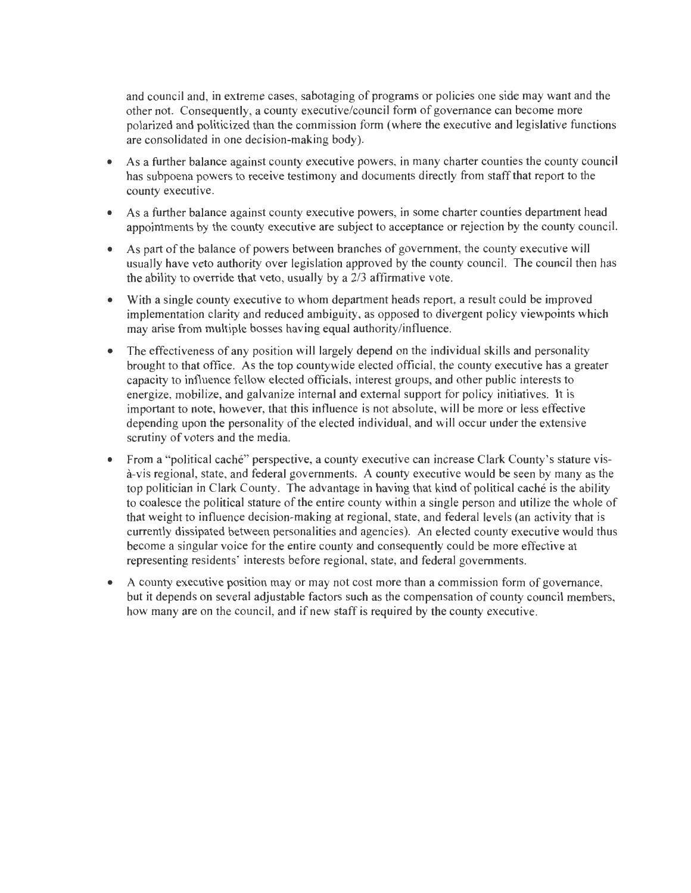and council and, in extreme cases, sabotaging of programs or policies one side may want and the other not. Consequently, a county executive/council form of governance can become more polarized and politicized than the commission form (where the executive and legislative functions are consolidated in one decision-making body).

- As a further balance against county executive powers, in many charter counties the county council has subpoena powers to receive testimony and documents directly from staff that report to the county executive.
- As a further balance against county executive powers, in some charter counties department head appointments by the county executive are subject to acceptance or rejection by the county council.
- As part of the balance of powers between branches of government, the county executive will usually have veto authority over legislation approved by the county council. The council then has the ability to override that veto, usually by a 2/3 affirmative vote.
- With a single county executive to whom department heads report, a result could be improved implementation clarity and reduced ambiguity, as opposed to divergent policy viewpoints which may arise from multiple bosses having equal authority/influence.
- The effectiveness of any position will largely depend on the individual skills and personality brought to that office. As the top countywide elected official, the county executive has a greater capacity to influence fellow elected officials, interest groups, and other public interests to energize, mobilize, and galvanize internal and external support for policy initiatives. It is important to note, however, that this influence is not absolute, will be more or less effective depending upon the personality of the elected individual, and will occur under the extensive scrutiny of voters and the media.
- From a "political caché" perspective, a county executive can increase Clark County's stature visa-vis regional, state, and federal governments. A county executive would be seen by many as the top politician in Clark County. The advantage in having that kind of political cache is the ability to coalesce the political stature of the entire county within a single person and utilize the whole of that weight to influence decision-making at regional, state, and federal levels (an activity that is currently dissipated between personalities and agencies). An elected county executive would thus become a singular voice for the entire county and consequently could be more effective at representing residents' interests before regional, state, and federal governments.
- A county executive position may or may not cost more than a commission form of governance, but it depends on several adjustable factors such as the compensation of county council members, how many are on the council, and if new staff is required by the county executive.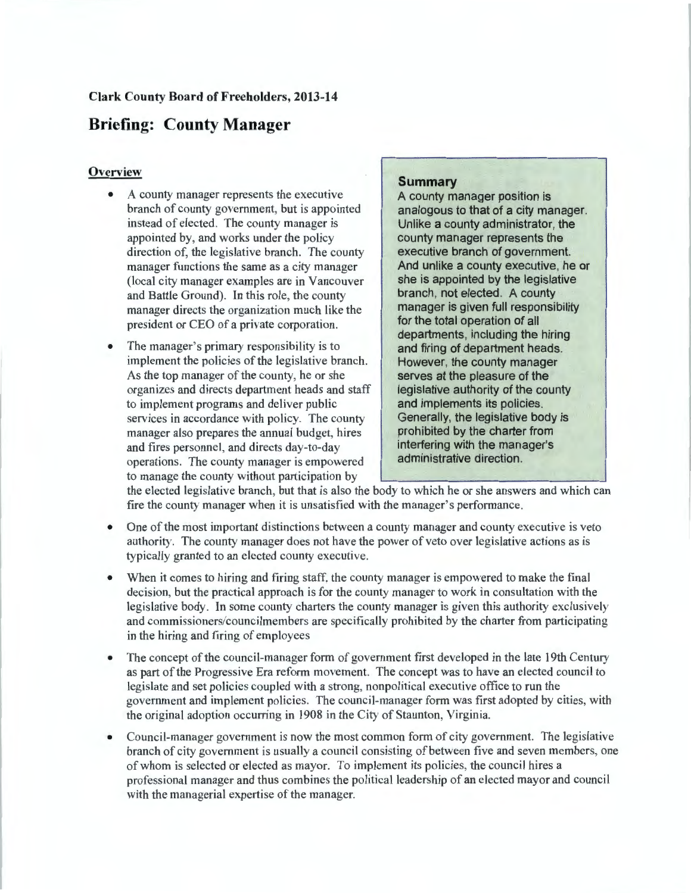# **Briefing: County Manager**

#### **Overview**

- A county manager represents the executive branch of county government, but is appointed instead of elected. The county manager is appointed by, and works under the policy direction of, the legislative branch. The county manager functions the same as a city manager (local city manager examples are in Vancouver and Battle Ground). In this role, the county manager directs the organization much like the president or CEO of a private corporation.
- The manager's primary responsibility is to implement the policies of the legislative branch. As the top manager of the county, he or she organizes and directs department heads and staff to implement programs and deliver public services in accordance with policy. The county manager also prepares the annual budget, hires and fires personnel, and directs day-to-day operations. The county manager is empowered to manage the county without participation by

### **Summary**

A county manager position is analogous to that of a city manager. Unlike a county administrator, the county manager represents the executive branch of government. And unlike a county executive, he or she is appointed by the legislative branch, not elected. A county manager is given full responsibility for the total operation of all departments, including the hiring and firing of department heads. However, the county manager serves at the pleasure of the legislative authority of the county and implements its policies. Generally, the legislative body is prohibited by the charter from interfering with the manager's administrative direction.

the elected legislative branch, but that is also the body to which he or she answers and which can fire the county manager when it is unsatisfied with the manager's performance.

- One of the most important distinctions between a county manager and county executive is veto authority. The county manager does not have the power of veto over legislative actions as is typically granted to an elected county executive.
- When it comes to hiring and firing staff, the county manager is empowered to make the final decision, but the practical approach is for the county manager to work in consultation with the legislative body. In some county charters the county manager is given this authority exclusively and commissioners/councilmembers are specifically prohibited by the charter from participating in the hiring and firing of employees
- The concept of the council-manager form of government first developed in the late 19th Century as part of the Progressive Era reform movement. The concept was to have an elected council to legislate and set policies coupled with a strong, nonpolitical executive office to run the government and implement policies. The council-manager form was first adopted by cities, with the original adoption occurring in 1908 in the City of Staunton, Virginia.
- Council-manager government is now the most common form of city government. The legislative branch of city government is usually a council consisting of between five and seven members, one of whom is selected or elected as mayor. To implement its policies, the council hires a professional manager and thus combines the political leadership of an elected mayor and council with the managerial expertise of the manager.